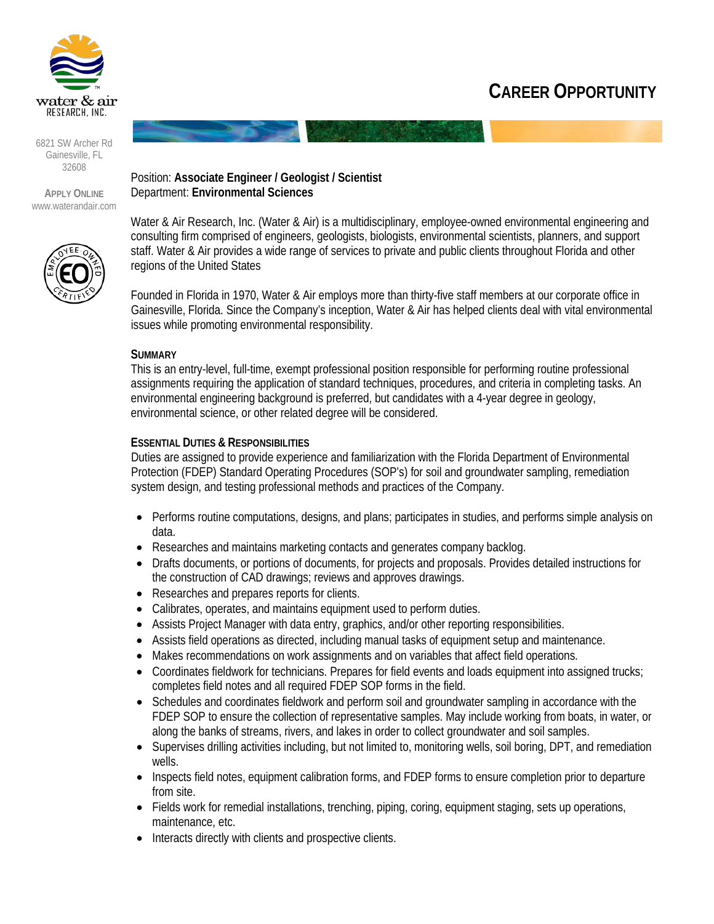

#### 6821 SW Archer Rd Gainesville, FL 32608

**APPLY ONLINE** [www.waterandair.com](http://www.waterandair.com/)



Position: **Associate Engineer / Geologist / Scientist** Department: **Environmental Sciences**

Water & Air Research, Inc. (Water & Air) is a multidisciplinary, employee-owned environmental engineering and consulting firm comprised of engineers, geologists, biologists, environmental scientists, planners, and support staff. Water & Air provides a wide range of services to private and public clients throughout Florida and other regions of the United States

Founded in Florida in 1970, Water & Air employs more than thirty-five staff members at our corporate office in Gainesville, Florida. Since the Company's inception, Water & Air has helped clients deal with vital environmental issues while promoting environmental responsibility.

### **SUMMARY**

This is an entry-level, full-time, exempt professional position responsible for performing routine professional assignments requiring the application of standard techniques, procedures, and criteria in completing tasks. An environmental engineering background is preferred, but candidates with a 4-year degree in geology, environmental science, or other related degree will be considered.

### **ESSENTIAL DUTIES & RESPONSIBILITIES**

Duties are assigned to provide experience and familiarization with the Florida Department of Environmental Protection (FDEP) Standard Operating Procedures (SOP's) for soil and groundwater sampling, remediation system design, and testing professional methods and practices of the Company.

- Performs routine computations, designs, and plans; participates in studies, and performs simple analysis on data.
- Researches and maintains marketing contacts and generates company backlog.
- Drafts documents, or portions of documents, for projects and proposals. Provides detailed instructions for the construction of CAD drawings; reviews and approves drawings.
- Researches and prepares reports for clients.
- Calibrates, operates, and maintains equipment used to perform duties.
- Assists Project Manager with data entry, graphics, and/or other reporting responsibilities.
- Assists field operations as directed, including manual tasks of equipment setup and maintenance.
- Makes recommendations on work assignments and on variables that affect field operations.
- Coordinates fieldwork for technicians. Prepares for field events and loads equipment into assigned trucks; completes field notes and all required FDEP SOP forms in the field.
- Schedules and coordinates fieldwork and perform soil and groundwater sampling in accordance with the FDEP SOP to ensure the collection of representative samples. May include working from boats, in water, or along the banks of streams, rivers, and lakes in order to collect groundwater and soil samples.
- Supervises drilling activities including, but not limited to, monitoring wells, soil boring, DPT, and remediation wells.
- Inspects field notes, equipment calibration forms, and FDEP forms to ensure completion prior to departure from site.
- Fields work for remedial installations, trenching, piping, coring, equipment staging, sets up operations, maintenance, etc.
- Interacts directly with clients and prospective clients.

## **CAREER OPPORTUNITY**